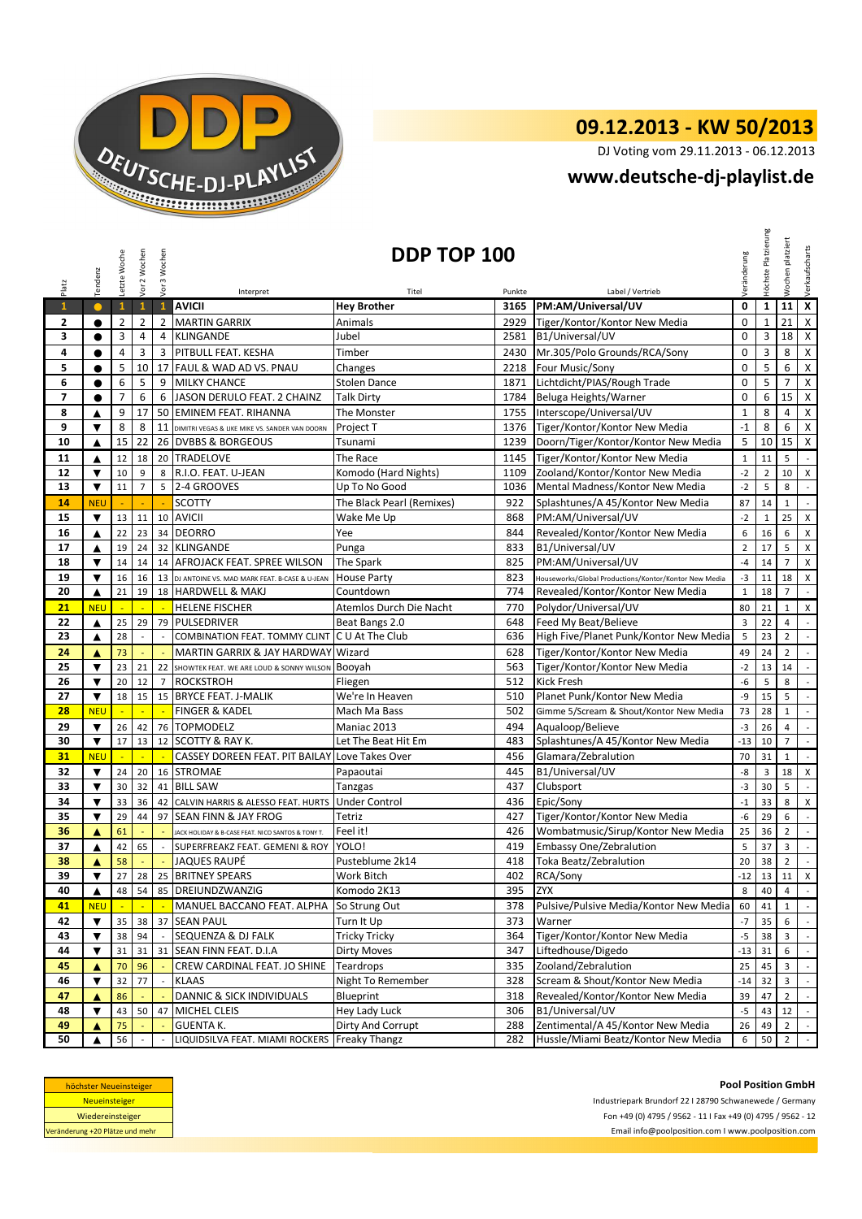

## **09.12.2013 - KW 50/2013**

DJ Voting vom 29.11.2013 - 06.12.2013

## **www.deutsche-dj-playlist.de**

| Platz                           | Tendenz                                                                                                                                                                                                                   | Letzte Woche   | Vor 2 Wochen   | Vor 3 Wochen               | DDP TOP 100<br>Veränderung                        |                            |            |                                                       |                |                | platziert<br><b>Nochen</b>       | Verkaufscharts                        |
|---------------------------------|---------------------------------------------------------------------------------------------------------------------------------------------------------------------------------------------------------------------------|----------------|----------------|----------------------------|---------------------------------------------------|----------------------------|------------|-------------------------------------------------------|----------------|----------------|----------------------------------|---------------------------------------|
|                                 |                                                                                                                                                                                                                           |                |                |                            | Interpret                                         | Titel                      | Punkte     | Label / Vertrieb                                      |                |                |                                  |                                       |
| $\mathbf{1}$                    | $\bullet$                                                                                                                                                                                                                 | $\mathbf{1}$   | $\mathbf 1$    | $\mathbf{1}$               | <b>AVICII</b>                                     | <b>Hey Brother</b>         | 3165       | PM:AM/Universal/UV                                    | $\mathbf 0$    | $\mathbf{1}$   | $11 \times$                      |                                       |
| 2                               | $\bullet$                                                                                                                                                                                                                 | $\overline{2}$ | $\overline{2}$ | $\overline{2}$             | <b>MARTIN GARRIX</b>                              | Animals                    | 2929       | Tiger/Kontor/Kontor New Media                         | $\mathbf 0$    | $\mathbf{1}$   | 21                               | $\mathsf X$                           |
| 3                               | $\bullet$                                                                                                                                                                                                                 | 3              | 4              | 4                          | KLINGANDE                                         | Jubel                      | 2581       | B1/Universal/UV                                       | $\Omega$       | 3              | 18                               | $\mathsf{X}$                          |
| 4                               | $\bullet$                                                                                                                                                                                                                 | $\overline{4}$ | 3              | 3                          | <b>PITBULL FEAT. KESHA</b>                        | Timber                     | 2430       | Mr.305/Polo Grounds/RCA/Sony                          | $\mathbf 0$    | 3              | 8                                | $\boldsymbol{\mathsf{X}}$             |
| 5                               | $\bullet$                                                                                                                                                                                                                 | 5              | 10             |                            | 17 FAUL & WAD AD VS. PNAU                         | Changes                    | 2218       | Four Music/Sony                                       | $\Omega$       | 5              | 6                                | $\pmb{\times}$                        |
| 6                               | $\bullet$                                                                                                                                                                                                                 | 6              | 5              | 9                          | MILKY CHANCE                                      | <b>Stolen Dance</b>        | 1871       | Lichtdicht/PIAS/Rough Trade                           | $\mathbf 0$    | 5              | $\overline{7}$                   | $\pmb{\chi}$                          |
| $\overline{ }$                  | $\bullet$                                                                                                                                                                                                                 | $\overline{7}$ | 6              | 6                          | JASON DERULO FEAT. 2 CHAINZ                       | <b>Talk Dirty</b>          | 1784       | Beluga Heights/Warner                                 | $\mathbf{0}$   | 6              | 15                               | $\mathsf{X}$                          |
| 8                               | ▲                                                                                                                                                                                                                         | 9              | 17             |                            | 50 EMINEM FEAT. RIHANNA                           | The Monster                | 1755       | Interscope/Universal/UV                               | $\mathbf 1$    | 8              | $\overline{4}$                   | $\boldsymbol{\mathsf{X}}$             |
| 9                               | ▼                                                                                                                                                                                                                         | 8              | 8              |                            | 11 DIMITRI VEGAS & LIKE MIKE VS. SANDER VAN DOORN | Project T                  | 1376       | Tiger/Kontor/Kontor New Media                         | $-1$           | 8              | 6                                | $\pmb{\mathsf{X}}$                    |
| 10                              | ▲                                                                                                                                                                                                                         | 15             | 22             |                            | 26 DVBBS & BORGEOUS                               | Tsunami                    | 1239       | Doorn/Tiger/Kontor/Kontor New Media                   | 5              | 10             | 15                               | $\pmb{\mathsf{X}}$                    |
| 11                              | ▲                                                                                                                                                                                                                         | 12             | 18             |                            | 20 TRADELOVE                                      | The Race                   | 1145       | Tiger/Kontor/Kontor New Media                         | $\mathbf{1}$   | 11             | 5                                | $\mathcal{L}_{\mathcal{A}}$           |
| 12                              | $\blacktriangledown$                                                                                                                                                                                                      | 10             | 9              | 8                          | R.I.O. FEAT. U-JEAN                               | Komodo (Hard Nights)       | 1109       | Zooland/Kontor/Kontor New Media                       | $-2$           | $\overline{2}$ | 10                               | X                                     |
| 13                              | $\blacktriangledown$                                                                                                                                                                                                      | 11             | $\overline{7}$ | 5                          | 2-4 GROOVES                                       | Up To No Good              | 1036       | Mental Madness/Kontor New Media                       | $-2$           | 5              | 8                                | $\mathbb{Z}^2$                        |
| 14                              | <b>NEU</b>                                                                                                                                                                                                                |                |                |                            | <b>SCOTTY</b>                                     | The Black Pearl (Remixes)  | 922        | Splashtunes/A 45/Kontor New Media                     | 87             | 14             | $1\,$                            | $\mathbb{Z}^{\mathbb{Z}}$             |
| 15                              | $\blacktriangledown$                                                                                                                                                                                                      | 13             | 11             |                            | 10 AVICII                                         | Wake Me Up                 | 868        | PM:AM/Universal/UV                                    | $-2$           | $\mathbf{1}$   | 25                               | $\boldsymbol{\mathsf{X}}$             |
| 16                              | $\blacktriangle$                                                                                                                                                                                                          | 22             | 23             |                            | 34 DEORRO                                         | Yee                        | 844        | Revealed/Kontor/Kontor New Media                      | 6              | 16             | 6                                | $\pmb{\times}$                        |
| 17                              | ▲                                                                                                                                                                                                                         | 19             | 24             |                            | 32 KLINGANDE                                      | Punga                      | 833        | B1/Universal/UV                                       | $\overline{2}$ | 17             | 5                                | X                                     |
| 18                              | $\blacktriangledown$                                                                                                                                                                                                      | 14             | 14             |                            | 14 AFROJACK FEAT, SPREE WILSON                    | <b>The Spark</b>           | 825        | PM:AM/Universal/UV                                    | $-4$           | 14             | $\overline{7}$                   | $\pmb{\mathsf{X}}$                    |
| 19                              | $\blacktriangledown$                                                                                                                                                                                                      | 16             | 16             |                            | 13 DJ ANTOINE VS. MAD MARK FEAT. B-CASE & U-JEAN  | <b>House Party</b>         | 823        | Houseworks/Global Productions/Kontor/Kontor New Media | $-3$           | 11             | 18                               | X                                     |
| 20                              | ▲                                                                                                                                                                                                                         | 21             | 19             |                            | 18 HARDWELL & MAKJ                                | Countdown                  | 774        | Revealed/Kontor/Kontor New Media                      | $\mathbf{1}$   | 18             | $\overline{7}$                   | $\sim$                                |
| 21                              | <b>NEU</b>                                                                                                                                                                                                                |                | $\mathbb{Z}$   | $\mathcal{L}_{\mathbf{r}}$ | <b>HELENE FISCHER</b>                             | Atemlos Durch Die Nacht    | 770        | Polydor/Universal/UV                                  | 80             | 21             | $\mathbf{1}$                     | X                                     |
| 22                              | ▲                                                                                                                                                                                                                         | 25             | 29             |                            | 79 PULSEDRIVER                                    | Beat Bangs 2.0             | 648        | Feed My Beat/Believe                                  | $\overline{3}$ | 22             | 4                                | $\sim$                                |
| 23                              | ▲                                                                                                                                                                                                                         | 28             |                |                            | COMBINATION FEAT. TOMMY CLINT C U At The Club     |                            | 636        | High Five/Planet Punk/Kontor New Media                | 5              | 23             | $\overline{2}$                   | $\mathbb{Z}^2$                        |
| 24                              | ▲                                                                                                                                                                                                                         | 73             |                | ÷.                         | MARTIN GARRIX & JAY HARDWAY Wizard                |                            | 628        | Tiger/Kontor/Kontor New Media                         | 49             | 24             | $\overline{2}$                   | $\mathbb{Z}^2$                        |
| 25                              | $\overline{\mathbf{v}}$                                                                                                                                                                                                   | 23             | 21             |                            | 22 SHOWTEK FEAT. WE ARE LOUD & SONNY WILSON       | Booyah                     | 563        | Tiger/Kontor/Kontor New Media                         | $-2$           | 13             | 14                               | $\overline{\phantom{a}}$              |
|                                 | $\blacktriangledown$                                                                                                                                                                                                      |                |                |                            |                                                   |                            |            | <b>Kick Fresh</b>                                     | $-6$           |                |                                  |                                       |
| 26<br>27                        | $\blacktriangledown$                                                                                                                                                                                                      | 20<br>18       | 12<br>15       |                            | 7 ROCKSTROH<br>15 BRYCE FEAT. J-MALIK             | Fliegen<br>We're In Heaven | 512<br>510 | Planet Punk/Kontor New Media                          | -9             | 5<br>15        | 8<br>5                           | $\sim$<br>$\mathbb{Z}^2$              |
| 28                              | <b>NEU</b>                                                                                                                                                                                                                |                |                |                            | <b>FINGER &amp; KADEL</b>                         | Mach Ma Bass               | 502        | Gimme 5/Scream & Shout/Kontor New Media               | 73             | 28             | $\mathbf{1}$                     | $\omega_{\rm c}$                      |
|                                 |                                                                                                                                                                                                                           |                |                |                            |                                                   |                            |            |                                                       |                |                |                                  |                                       |
| 29<br>30                        | $\blacktriangledown$<br>$\blacktriangledown$                                                                                                                                                                              | 26<br>17       | 42<br>13       |                            | 76 TOPMODELZ<br>12 SCOTTY & RAY K.                | Maniac 2013                | 494        | Aqualoop/Believe<br>Splashtunes/A 45/Kontor New Media | $-3$           | 26             | $\overline{4}$<br>$\overline{7}$ | $\mathcal{L}_{\mathcal{A}}$           |
|                                 |                                                                                                                                                                                                                           |                |                |                            |                                                   | Let The Beat Hit Em        | 483        |                                                       | $-13$          | 10             |                                  | $\mathbb{Z}^2$<br>$\mathcal{L}^{\pm}$ |
| 31                              | <b>NEU</b>                                                                                                                                                                                                                | ×.             | ÷.             | ×.                         | CASSEY DOREEN FEAT. PIT BAILAY Love Takes Over    |                            | 456        | Glamara/Zebralution                                   | 70             | 31             | $\mathbf{1}$                     |                                       |
| 32                              | $\blacktriangledown$                                                                                                                                                                                                      | 24             | 20             |                            | 16 STROMAE                                        | Papaoutai                  | 445        | B1/Universal/UV                                       | -8             | 3              | 18                               | $\times$                              |
| 33                              | $\blacktriangledown$                                                                                                                                                                                                      | 30             | 32             |                            | 41 BILL SAW                                       | Tanzgas                    | 437        | Clubsport                                             | $-3$           | 30             | 5                                | $\sim$                                |
| 34                              | $\overline{\mathbf{v}}$                                                                                                                                                                                                   | 33             | 36             |                            | 42 CALVIN HARRIS & ALESSO FEAT. HURTS             | <b>Under Control</b>       | 436        | Epic/Sony                                             | $-1$           | 33             | 8                                | X                                     |
| 35                              | $\blacktriangledown$                                                                                                                                                                                                      | 29             | 44             | 97                         | <b>SEAN FINN &amp; JAY FROG</b>                   | Tetriz                     | 427        | Tiger/Kontor/Kontor New Media                         | -6             | 29             | 6                                | $\mathbb{Z}^2$                        |
| 36                              | ▲                                                                                                                                                                                                                         | 61             |                |                            | JACK HOLIDAY & B-CASE FEAT. NICO SANTOS & TONY T. | Feel it!                   | 426        | Wombatmusic/Sirup/Kontor New Media                    | 25             | 36             | $\overline{2}$                   | $\mathbb{Z}^2$                        |
| 37                              | ▲                                                                                                                                                                                                                         | 42             | 65             | $\sim$                     | SUPERFREAKZ FEAT. GEMENI & ROY                    | YOLO!                      | 419        | <b>Embassy One/Zebralution</b>                        | 5              | 37             | $\overline{3}$                   | $\mathbb{Z}^{\mathbb{Z}}$             |
| 38                              | ▲                                                                                                                                                                                                                         | 58             |                | $\sim$                     | <b>JAQUES RAUPÉ</b>                               | Pusteblume 2k14            | 418        | Toka Beatz/Zebralution                                | 20             | 38             | $\overline{2}$                   | $\sim$                                |
| 39                              | $\blacktriangledown$                                                                                                                                                                                                      | 27             |                |                            | 28 25 BRITNEY SPEARS                              | <b>Work Bitch</b>          | 402        | RCA/Sony                                              | $-12$          | 13             | 11                               | $\mathsf X$                           |
| 40                              | ▲                                                                                                                                                                                                                         | 48             | 54             |                            | 85 DREIUNDZWANZIG                                 | Komodo 2K13                | 395        | <b>ZYX</b>                                            | 8              | 40             | $\overline{4}$                   | $\mathbb{Z}^2$                        |
| 41                              | <b>NEU</b>                                                                                                                                                                                                                |                |                |                            | MANUEL BACCANO FEAT. ALPHA                        | So Strung Out              | 378        | Pulsive/Pulsive Media/Kontor New Media                | 60             | 41             | $\mathbf{1}$                     | $\sim$                                |
| 42                              | $\blacktriangledown$                                                                                                                                                                                                      | 35             | 38             | 37                         | <b>SEAN PAUL</b>                                  | Turn It Up                 | 373        | Warner                                                | $\mathbf{-7}$  | 35             | 6                                | $\sim$                                |
| 43                              | $\blacktriangledown$                                                                                                                                                                                                      | 38             | 94             |                            | SEQUENZA & DJ FALK                                | Tricky Tricky              | 364        | Tiger/Kontor/Kontor New Media                         | $-5$           | 38             | 3                                | $\blacksquare$                        |
| 44                              | ▼                                                                                                                                                                                                                         | 31             | 31             | 31                         | SEAN FINN FEAT. D.I.A                             | Dirty Moves                | 347        | Liftedhouse/Digedo                                    | $-13$          | 31             | 6                                | $\sim$                                |
| 45                              | ▲                                                                                                                                                                                                                         | 70             | 96             |                            | CREW CARDINAL FEAT. JO SHINE                      | Teardrops                  | 335        | Zooland/Zebralution                                   | 25             | 45             | 3                                | $\mathcal{L}_{\mathcal{A}}$           |
| 46                              | $\blacktriangledown$                                                                                                                                                                                                      | 32             | 77             |                            | <b>KLAAS</b>                                      | Night To Remember          | 328        | Scream & Shout/Kontor New Media                       | $-14$          | 32             | 3                                | $\mathbb{Z}^{\mathbb{Z}}$             |
| 47                              | ▲                                                                                                                                                                                                                         | 86             |                |                            | DANNIC & SICK INDIVIDUALS                         | Blueprint                  | 318        | Revealed/Kontor/Kontor New Media                      | 39             | 47             | $\overline{2}$                   | $\mathbb{Z}^2$                        |
| 48                              | $\blacktriangledown$                                                                                                                                                                                                      | 43             | 50             | 47                         | <b>MICHEL CLEIS</b>                               | Hey Lady Luck              | 306        | B1/Universal/UV                                       | $-5$           | 43             | 12                               | $\mathbb{Z}^+$                        |
| 49                              | ▲                                                                                                                                                                                                                         | 75             |                |                            | <b>GUENTA K.</b>                                  | Dirty And Corrupt          | 288        | Zentimental/A 45/Kontor New Media                     | 26             | 49             | $\overline{2}$                   | $\sim$                                |
| 50                              | ▲                                                                                                                                                                                                                         | 56             |                |                            | LIQUIDSILVA FEAT. MIAMI ROCKERS                   | <b>Freaky Thangz</b>       | 282        | Hussle/Miami Beatz/Kontor New Media                   | 6              | 50             | $\overline{2}$                   | $\sim$                                |
|                                 | <b>Pool Position GmbH</b><br>höchster Neueinsteiger<br><b>Neueinsteiger</b><br>Industriepark Brundorf 22   28790 Schwanewede / Germany<br>Fon +49 (0) 4795 / 9562 - 11   Fax +49 (0) 4795 / 9562 - 12<br>Wiedereinsteiger |                |                |                            |                                                   |                            |            |                                                       |                |                |                                  |                                       |
| Veränderung +20 Plätze und mehr |                                                                                                                                                                                                                           |                |                |                            |                                                   |                            |            | Email info@poolposition.com I www.poolposition.com    |                |                |                                  |                                       |

| höchster Neueinsteiger          |
|---------------------------------|
| <b>Neueinsteiger</b>            |
| Wiedereinsteiger                |
| Veränderung +20 Plätze und mehr |